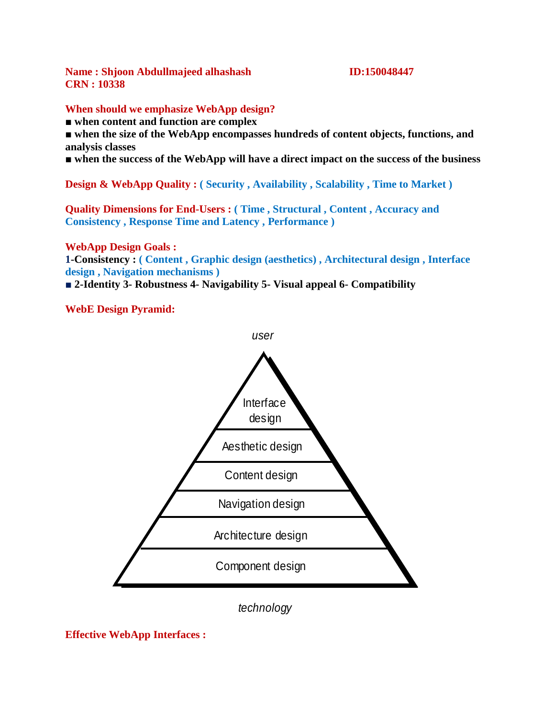**Name : Shjoon Abdullmajeed alhashash ID:150048447 CRN : 10338**

#### **When should we emphasize WebApp design?**

■ **when content and function are complex**

■ **when the size of the WebApp encompasses hundreds of content objects, functions, and analysis classes**

■ **when the success of the WebApp will have a direct impact on the success of the business**

**Design & WebApp Quality : (Security, Availability, Scalability, Time to Market)** 

**Quality Dimensions for End-Users : ( Time , Structural , Content , Accuracy and Consistency , Response Time and Latency , Performance )**

**WebApp Design Goals :**

**1-Consistency : ( Content , Graphic design (aesthetics) , Architectural design , Interface design , Navigation mechanisms )**

*user*

■ **2-Identity 3- Robustness 4- Navigability 5- Visual appeal 6- Compatibility**

**WebE Design Pyramid:**



*technology*

**Effective WebApp Interfaces :**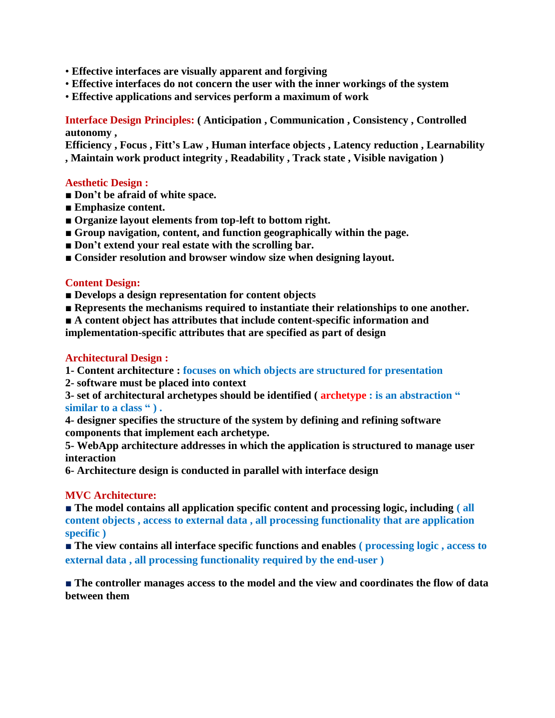- **Effective interfaces are visually apparent and forgiving**
- **Effective interfaces do not concern the user with the inner workings of the system**
- **Effective applications and services perform a maximum of work**

# **Interface Design Principles: ( Anticipation , Communication , Consistency , Controlled autonomy ,**

**Efficiency , Focus , Fitt's Law , Human interface objects , Latency reduction , Learnability , Maintain work product integrity , Readability , Track state , Visible navigation )**

#### **Aesthetic Design :**

- **Don't be afraid of white space.**
- **Emphasize content.**
- **Organize layout elements from top-left to bottom right.**
- **Group navigation, content, and function geographically within the page.**
- **Don't extend your real estate with the scrolling bar.**
- **Consider resolution and browser window size when designing layout.**

## **Content Design:**

- Develops a design representation for content objects
- **Represents the mechanisms required to instantiate their relationships to one another.**

■ **A content object has attributes that include content-specific information and** 

**implementation-specific attributes that are specified as part of design**

#### **Architectural Design :**

**1- Content architecture : focuses on which objects are structured for presentation**

**2- software must be placed into context**

**3- set of architectural archetypes should be identified ( archetype : is an abstraction " similar to a class " ) .**

**4- designer specifies the structure of the system by defining and refining software components that implement each archetype.**

**5- WebApp architecture addresses in which the application is structured to manage user interaction**

**6- Architecture design is conducted in parallel with interface design**

#### **MVC Architecture:**

■ **The model contains all application specific content and processing logic, including (all content objects , access to external data , all processing functionality that are application specific )**

■ **The view contains all interface specific functions and enables ( processing logic , access to external data , all processing functionality required by the end-user )**

■ **The controller manages access to the model and the view and coordinates the flow of data between them**